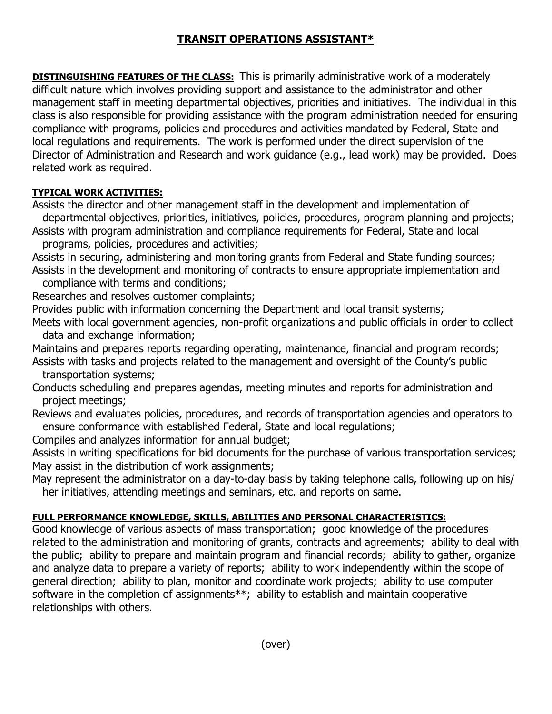## **TRANSIT OPERATIONS ASSISTANT\***

**DISTINGUISHING FEATURES OF THE CLASS:** This is primarily administrative work of a moderately difficult nature which involves providing support and assistance to the administrator and other management staff in meeting departmental objectives, priorities and initiatives. The individual in this class is also responsible for providing assistance with the program administration needed for ensuring compliance with programs, policies and procedures and activities mandated by Federal, State and local regulations and requirements. The work is performed under the direct supervision of the Director of Administration and Research and work guidance (e.g., lead work) may be provided. Does related work as required.

## **TYPICAL WORK ACTIVITIES:**

Assists the director and other management staff in the development and implementation of departmental objectives, priorities, initiatives, policies, procedures, program planning and projects;

Assists with program administration and compliance requirements for Federal, State and local programs, policies, procedures and activities;

Assists in securing, administering and monitoring grants from Federal and State funding sources; Assists in the development and monitoring of contracts to ensure appropriate implementation and compliance with terms and conditions;

Researches and resolves customer complaints;

Provides public with information concerning the Department and local transit systems;

Meets with local government agencies, non-profit organizations and public officials in order to collect data and exchange information;

Maintains and prepares reports regarding operating, maintenance, financial and program records; Assists with tasks and projects related to the management and oversight of the County's public

transportation systems;

Conducts scheduling and prepares agendas, meeting minutes and reports for administration and project meetings;

Reviews and evaluates policies, procedures, and records of transportation agencies and operators to ensure conformance with established Federal, State and local regulations;

Compiles and analyzes information for annual budget;

Assists in writing specifications for bid documents for the purchase of various transportation services; May assist in the distribution of work assignments;

May represent the administrator on a day-to-day basis by taking telephone calls, following up on his/ her initiatives, attending meetings and seminars, etc. and reports on same.

## **FULL PERFORMANCE KNOWLEDGE, SKILLS, ABILITIES AND PERSONAL CHARACTERISTICS:**

Good knowledge of various aspects of mass transportation; good knowledge of the procedures related to the administration and monitoring of grants, contracts and agreements; ability to deal with the public; ability to prepare and maintain program and financial records; ability to gather, organize and analyze data to prepare a variety of reports; ability to work independently within the scope of general direction; ability to plan, monitor and coordinate work projects; ability to use computer software in the completion of assignments\*\*; ability to establish and maintain cooperative relationships with others.